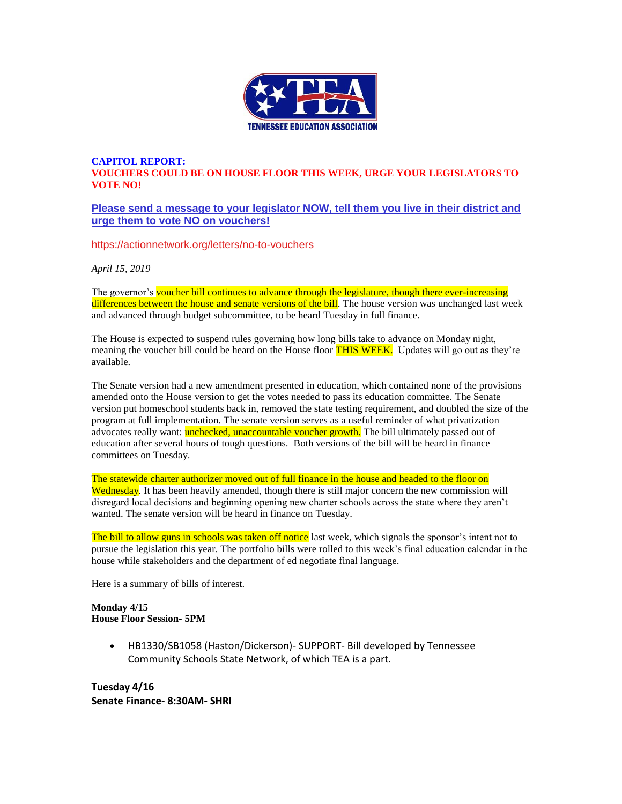

#### **CAPITOL REPORT: VOUCHERS COULD BE ON HOUSE FLOOR THIS WEEK, URGE YOUR LEGISLATORS TO VOTE NO!**

#### **[Please send a message to your legislator NOW, tell them you live in their district and](https://actionnetwork.org/letters/no-to-vouchers)  [urge them to vote NO on vouchers!](https://actionnetwork.org/letters/no-to-vouchers)**

[https://actionnetwork.org/letters/no-to-vouchers](https://actionnetwork.org/letters/no-to-vouchers?fbclid=IwAR109MFFK4EKHv7bLa7lnZwFv6oNvzy6aeTY3_670_YUNAJY_yBRvF3w2v0)

*April 15, 2019*

The governor's voucher bill continues to advance through the legislature, though there ever-increasing differences between the house and senate versions of the bill. The house version was unchanged last week and advanced through budget subcommittee, to be heard Tuesday in full finance.

The House is expected to suspend rules governing how long bills take to advance on Monday night, meaning the voucher bill could be heard on the House floor **THIS WEEK.** Updates will go out as they're available.

The Senate version had a new amendment presented in education, which contained none of the provisions amended onto the House version to get the votes needed to pass its education committee. The Senate version put homeschool students back in, removed the state testing requirement, and doubled the size of the program at full implementation. The senate version serves as a useful reminder of what privatization advocates really want: unchecked, unaccountable voucher growth. The bill ultimately passed out of education after several hours of tough questions. Both versions of the bill will be heard in finance committees on Tuesday.

The statewide charter authorizer moved out of full finance in the house and headed to the floor on Wednesday. It has been heavily amended, though there is still major concern the new commission will disregard local decisions and beginning opening new charter schools across the state where they aren't wanted. The senate version will be heard in finance on Tuesday.

The bill to allow guns in schools was taken off notice last week, which signals the sponsor's intent not to pursue the legislation this year. The portfolio bills were rolled to this week's final education calendar in the house while stakeholders and the department of ed negotiate final language.

Here is a summary of bills of interest.

#### **Monday 4/15 House Floor Session- 5PM**

• HB1330/SB1058 (Haston/Dickerson)- SUPPORT- Bill developed by Tennessee Community Schools State Network, of which TEA is a part.

**Tuesday 4/16 Senate Finance- 8:30AM- SHRI**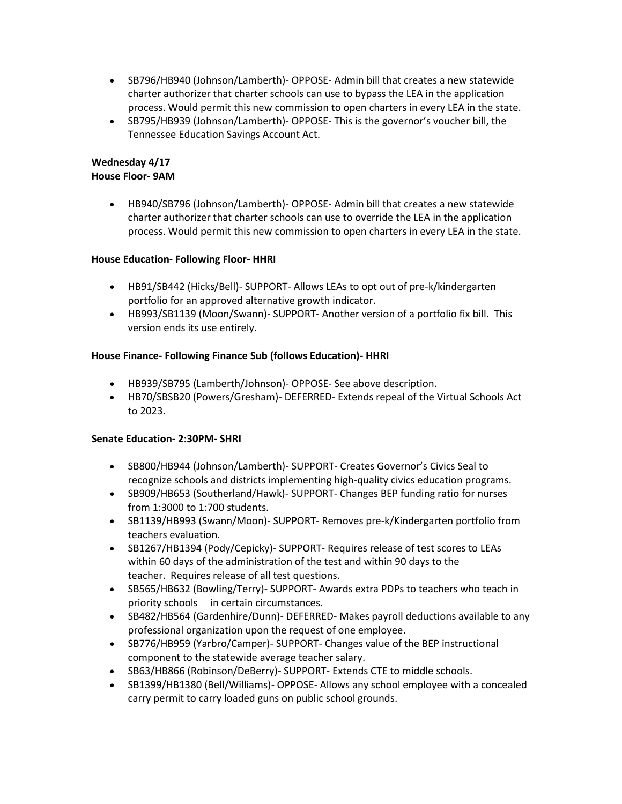- SB796/HB940 (Johnson/Lamberth)- OPPOSE- Admin bill that creates a new statewide charter authorizer that charter schools can use to bypass the LEA in the application process. Would permit this new commission to open charters in every LEA in the state.
- SB795/HB939 (Johnson/Lamberth)- OPPOSE- This is the governor's voucher bill, the Tennessee Education Savings Account Act.

### **Wednesday 4/17 House Floor- 9AM**

• HB940/SB796 (Johnson/Lamberth)- OPPOSE- Admin bill that creates a new statewide charter authorizer that charter schools can use to override the LEA in the application process. Would permit this new commission to open charters in every LEA in the state.

### **House Education- Following Floor- HHRI**

- HB91/SB442 (Hicks/Bell)- SUPPORT- Allows LEAs to opt out of pre-k/kindergarten portfolio for an approved alternative growth indicator.
- HB993/SB1139 (Moon/Swann)- SUPPORT- Another version of a portfolio fix bill. This version ends its use entirely.

### **House Finance- Following Finance Sub (follows Education)- HHRI**

- HB939/SB795 (Lamberth/Johnson)- OPPOSE- See above description.
- HB70/SBSB20 (Powers/Gresham)- DEFERRED- Extends repeal of the Virtual Schools Act to 2023.

#### **Senate Education- 2:30PM- SHRI**

- SB800/HB944 (Johnson/Lamberth)- SUPPORT- Creates Governor's Civics Seal to recognize schools and districts implementing high-quality civics education programs.
- SB909/HB653 (Southerland/Hawk)- SUPPORT- Changes BEP funding ratio for nurses from 1:3000 to 1:700 students.
- SB1139/HB993 (Swann/Moon)- SUPPORT- Removes pre-k/Kindergarten portfolio from teachers evaluation.
- SB1267/HB1394 (Pody/Cepicky)- SUPPORT- Requires release of test scores to LEAs within 60 days of the administration of the test and within 90 days to the teacher. Requires release of all test questions.
- SB565/HB632 (Bowling/Terry)- SUPPORT- Awards extra PDPs to teachers who teach in priority schools in certain circumstances.
- SB482/HB564 (Gardenhire/Dunn)- DEFERRED- Makes payroll deductions available to any professional organization upon the request of one employee.
- SB776/HB959 (Yarbro/Camper)- SUPPORT- Changes value of the BEP instructional component to the statewide average teacher salary.
- SB63/HB866 (Robinson/DeBerry)- SUPPORT- Extends CTE to middle schools.
- SB1399/HB1380 (Bell/Williams)- OPPOSE- Allows any school employee with a concealed carry permit to carry loaded guns on public school grounds.